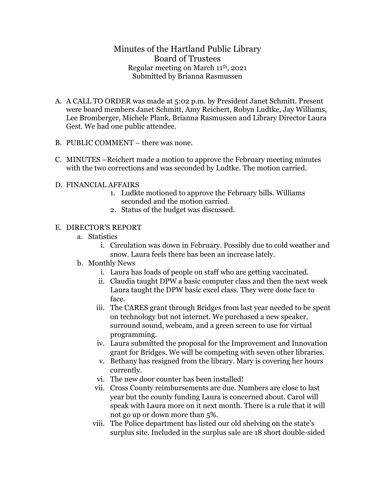## Minutes of the Hartland Public Library Board of Trustees Regular meeting on March 11th, 2021 Submitted by Brianna Rasmussen

- A. A CALL TO ORDER was made at 5:02 p.m. by President Janet Schmitt. Present were board members Janet Schmitt, Amy Reichert, Robyn Ludtke, Jay Williams, Lee Bromberger, Michele Plank, Brianna Rasmussen and Library Director Laura Gest. We had one public attendee.
- B. PUBLIC COMMENT there was none.
- C. MINUTES –Reichert made a motion to approve the February meeting minutes with the two corrections and was seconded by Ludtke. The motion carried.
- D. FINANCIAL AFFAIRS
	- 1. Ludkte motioned to approve the February bills. Williams seconded and the motion carried.
	- 2. Status of the budget was discussed.

## E. DIRECTOR'S REPORT

- a. Statistics
	- i. Circulation was down in February. Possibly due to cold weather and snow. Laura feels there has been an increase lately.
- b. Monthly News
	- i. Laura has loads of people on staff who are getting vaccinated.
	- ii. Claudia taught DPW a basic computer class and then the next week Laura taught the DPW basic excel class. They were done face to face.
	- iii. The CARES grant through Bridges from last year needed to be spent on technology but not internet. We purchased a new speaker, surround sound, webcam, and a green screen to use for virtual programming.
	- iv. Laura submitted the proposal for the Improvement and Innovation grant for Bridges. We will be competing with seven other libraries.
	- v. Bethany has resigned from the library. Mary is covering her hours currently.
	- vi. The new door counter has been installed!
	- vii. Cross County reimbursements are due. Numbers are close to last year but the county funding Laura is concerned about. Carol will speak with Laura more on it next month. There is a rule that it will not go up or down more than 5%.
	- viii. The Police department has listed our old shelving on the state's surplus site. Included in the surplus sale are 18 short double-sided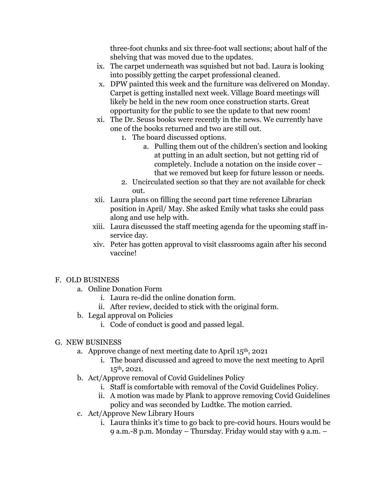three-foot chunks and six three-foot wall sections; about half of the shelving that was moved due to the updates.

- ix. The carpet underneath was squished but not bad. Laura is looking into possibly getting the carpet professional cleaned.
- x. DPW painted this week and the furniture was delivered on Monday. Carpet is getting installed next week. Village Board meetings will likely be held in the new room once construction starts. Great opportunity for the public to see the update to that new room!
- xi. The Dr. Seuss books were recently in the news. We currently have one of the books returned and two are still out.
	- 1. The board discussed options.
		- a. Pulling them out of the children's section and looking at putting in an adult section, but not getting rid of completely. Include a notation on the inside cover – that we removed but keep for future lesson or needs.
	- 2. Uncirculated section so that they are not available for check out.
- xii. Laura plans on filling the second part time reference Librarian position in April/ May. She asked Emily what tasks she could pass along and use help with.
- xiii. Laura discussed the staff meeting agenda for the upcoming staff inservice day.
- xiv. Peter has gotten approval to visit classrooms again after his second vaccine!

## F. OLD BUSINESS

- a. Online Donation Form
	- i. Laura re-did the online donation form.
	- ii. After review, decided to stick with the original form.
- b. Legal approval on Policies
	- i. Code of conduct is good and passed legal.

## G. NEW BUSINESS

- a. Approve change of next meeting date to April 15th, 2021
	- i. The board discussed and agreed to move the next meeting to April 15th, 2021.
- b. Act/Approve removal of Covid Guidelines Policy
	- i. Staff is comfortable with removal of the Covid Guidelines Policy.
	- ii. A motion was made by Plank to approve removing Covid Guidelines policy and was seconded by Ludtke. The motion carried.
- c. Act/Approve New Library Hours
	- i. Laura thinks it's time to go back to pre-covid hours. Hours would be 9 a.m.-8 p.m. Monday – Thursday. Friday would stay with 9 a.m. –